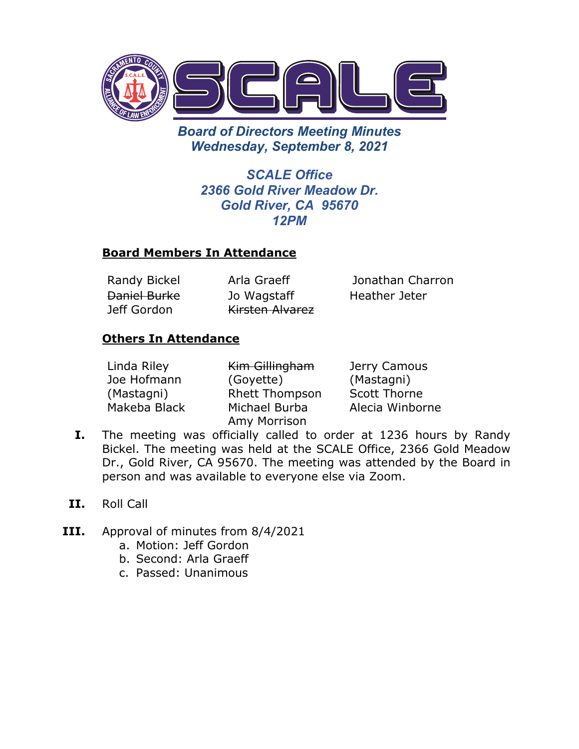

*Board of Directors Meeting Minutes Wednesday, September 8, 2021*

> *SCALE Office 2366 Gold River Meadow Dr. Gold River, CA 95670 12PM*

## **Board Members In Attendance**

Daniel Burke Jeff Gordon

Jo Wagstaff Kirsten Alvarez

Randy Bickel Arla Graeff Jonathan Charron Heather Jeter

## **Others In Attendance**

| Linda Riley  | Kim Gillingham        | Jerry Camous        |
|--------------|-----------------------|---------------------|
| Joe Hofmann  | (Goyette)             | (Mastagni)          |
| (Mastagni)   | <b>Rhett Thompson</b> | <b>Scott Thorne</b> |
| Makeba Black | Michael Burba         | Alecia Winborne     |
|              | Amy Morrison          |                     |

- **I.** The meeting was officially called to order at 1236 hours by Randy Bickel. The meeting was held at the SCALE Office, 2366 Gold Meadow Dr., Gold River, CA 95670. The meeting was attended by the Board in person and was available to everyone else via Zoom.
- **II.** Roll Call
- **III.** Approval of minutes from 8/4/2021
	- a. Motion: Jeff Gordon
	- b. Second: Arla Graeff
	- c. Passed: Unanimous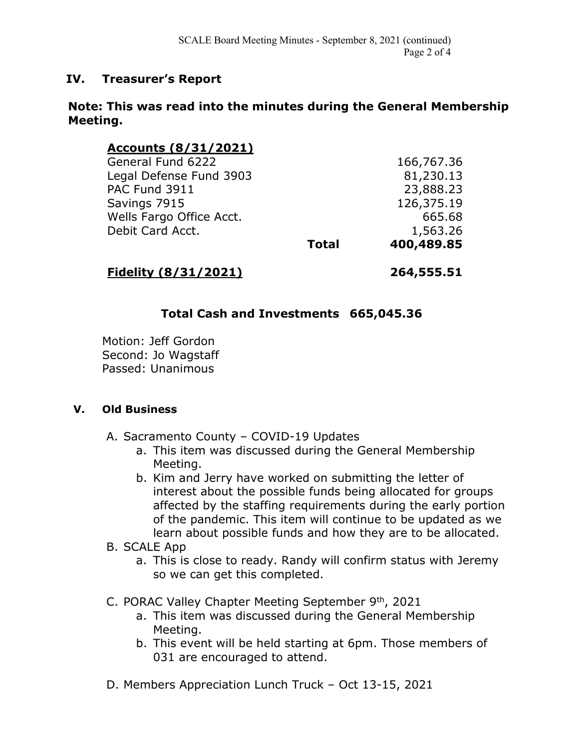## **IV. Treasurer's Report**

#### **Note: This was read into the minutes during the General Membership Meeting.**

| Accounts (8/31/2021)     |              |            |
|--------------------------|--------------|------------|
| General Fund 6222        |              | 166,767.36 |
| Legal Defense Fund 3903  |              | 81,230.13  |
| PAC Fund 3911            |              | 23,888.23  |
| Savings 7915             |              | 126,375.19 |
| Wells Fargo Office Acct. |              | 665.68     |
| Debit Card Acct.         |              | 1,563.26   |
|                          | <b>Total</b> | 400,489.85 |
|                          |              |            |

# **Fidelity (8/31/2021) 264,555.51**

## **Total Cash and Investments 665,045.36**

Motion: Jeff Gordon Second: Jo Wagstaff Passed: Unanimous

#### **V. Old Business**

- A. Sacramento County COVID-19 Updates
	- a. This item was discussed during the General Membership Meeting.
	- b. Kim and Jerry have worked on submitting the letter of interest about the possible funds being allocated for groups affected by the staffing requirements during the early portion of the pandemic. This item will continue to be updated as we learn about possible funds and how they are to be allocated.
- B. SCALE App
	- a. This is close to ready. Randy will confirm status with Jeremy so we can get this completed.
- C. PORAC Valley Chapter Meeting September 9th, 2021
	- a. This item was discussed during the General Membership Meeting.
	- b. This event will be held starting at 6pm. Those members of 031 are encouraged to attend.
- D. Members Appreciation Lunch Truck Oct 13-15, 2021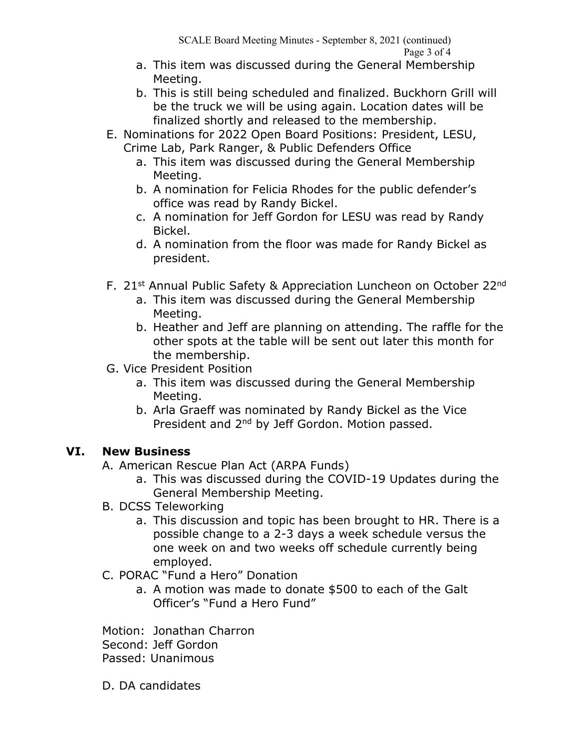SCALE Board Meeting Minutes - September 8, 2021 (continued) Page 3 of 4

- a. This item was discussed during the General Membership Meeting.
- b. This is still being scheduled and finalized. Buckhorn Grill will be the truck we will be using again. Location dates will be finalized shortly and released to the membership.
- E. Nominations for 2022 Open Board Positions: President, LESU, Crime Lab, Park Ranger, & Public Defenders Office
	- a. This item was discussed during the General Membership Meeting.
	- b. A nomination for Felicia Rhodes for the public defender's office was read by Randy Bickel.
	- c. A nomination for Jeff Gordon for LESU was read by Randy Bickel.
	- d. A nomination from the floor was made for Randy Bickel as president.
- F. 21<sup>st</sup> Annual Public Safety & Appreciation Luncheon on October 22<sup>nd</sup>
	- a. This item was discussed during the General Membership Meeting.
	- b. Heather and Jeff are planning on attending. The raffle for the other spots at the table will be sent out later this month for the membership.
- G. Vice President Position
	- a. This item was discussed during the General Membership Meeting.
	- b. Arla Graeff was nominated by Randy Bickel as the Vice President and 2<sup>nd</sup> by Jeff Gordon. Motion passed.

# **VI. New Business**

- A. American Rescue Plan Act (ARPA Funds)
	- a. This was discussed during the COVID-19 Updates during the General Membership Meeting.
- B. DCSS Teleworking
	- a. This discussion and topic has been brought to HR. There is a possible change to a 2-3 days a week schedule versus the one week on and two weeks off schedule currently being employed.
- C. PORAC "Fund a Hero" Donation
	- a. A motion was made to donate \$500 to each of the Galt Officer's "Fund a Hero Fund"

Motion: Jonathan Charron

Second: Jeff Gordon

Passed: Unanimous

D. DA candidates